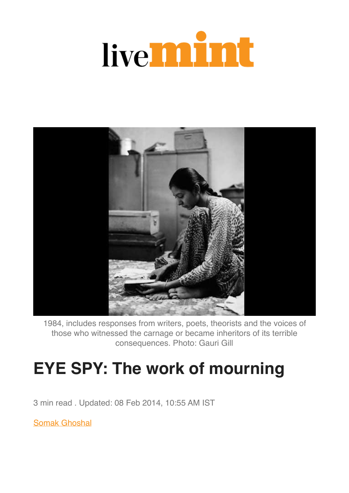## live**mint**



1984, includes responses from writers, poets, theorists and the voices of those who witnessed the carnage or became inheritors of its terrible consequences. Photo: Gauri Gill

## **EYE SPY: The work of mourning**

3 min read . Updated: 08 Feb 2014, 10:55 AM IST

[Somak Ghoshal](https://www.livemint.com/Search/Link/Author/Somak%20Ghoshal)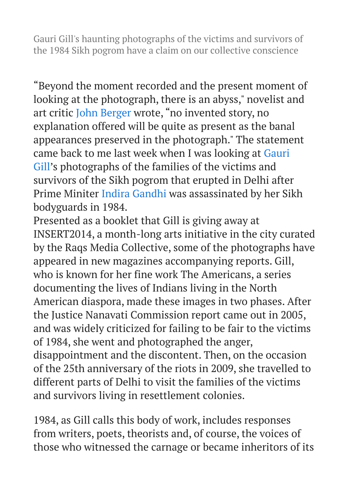Gauri Gill's haunting photographs of the victims and survivors of the 1984 Sikh pogrom have a claim on our collective conscience

"Beyond the moment recorded and the present moment of looking at the photograph, there is an abyss," novelist and art critic [John Berger](https://www.livemint.com/Search/Link/Keyword/John%20Berger) wrote, "no invented story, no explanation offered will be quite as present as the banal appearances preserved in the photograph." The statement came back to me last week when I was looking at [Gauri](https://www.livemint.com/Search/Link/Keyword/Gauri%20Gill)  [Gill](https://www.livemint.com/Search/Link/Keyword/Gauri%20Gill)'s photographs of the families of the victims and survivors of the Sikh pogrom that erupted in Delhi after Prime Minite[r Indira Gandhi](https://www.livemint.com/Search/Link/Keyword/%20Indira%20Gandhi) was assassinated by her Sikh bodyguards in 1984.

Presented as a booklet that Gill is giving away at INSERT2014, a month-long arts initiative in the city curated by the Raqs Media Collective, some of the photographs have appeared in new magazines accompanying reports. Gill, who is known for her fine work The Americans, a series documenting the lives of Indians living in the North American diaspora, made these images in two phases. After the Justice Nanavati Commission report came out in 2005, and was widely criticized for failing to be fair to the victims of 1984, she went and photographed the anger, disappointment and the discontent. Then, on the occasion of the 25th anniversary of the riots in 2009, she travelled to different parts of Delhi to visit the families of the victims and survivors living in resettlement colonies.

1984, as Gill calls this body of work, includes responses from writers, poets, theorists and, of course, the voices of those who witnessed the carnage or became inheritors of its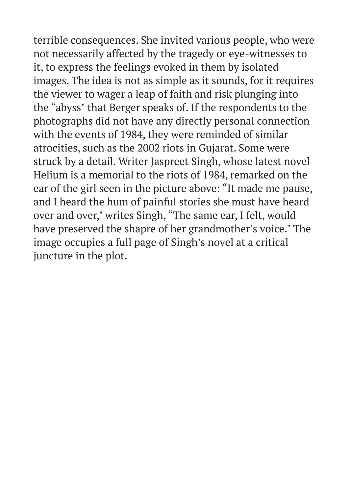terrible consequences. She invited various people, who were not necessarily affected by the tragedy or eye-witnesses to it, to express the feelings evoked in them by isolated images. The idea is not as simple as it sounds, for it requires the viewer to wager a leap of faith and risk plunging into the "abyss" that Berger speaks of. If the respondents to the photographs did not have any directly personal connection with the events of 1984, they were reminded of similar atrocities, such as the 2002 riots in Gujarat. Some were struck by a detail. Writer Jaspreet Singh, whose latest novel Helium is a memorial to the riots of 1984, remarked on the ear of the girl seen in the picture above: "It made me pause, and I heard the hum of painful stories she must have heard over and over," writes Singh, "The same ear, I felt, would have preserved the shapre of her grandmother's voice." The image occupies a full page of Singh's novel at a critical juncture in the plot.